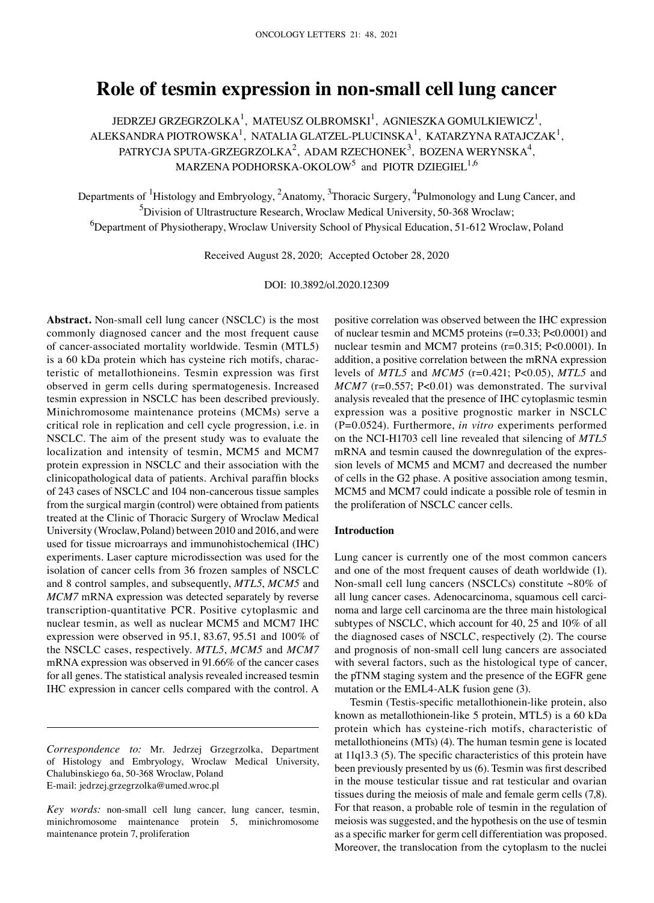# **Role of tesmin expression in non‑small cell lung cancer**

JEDRZEJ GRZEGRZOLKA $^1$ , MATEUSZ OLBROMSKI $^1$ , AGNIESZKA GOMULKIEWICZ $^1$ , ALEKSANDRA PIOTROWSKA $^{\rm l}$ , NATALIA GLATZEL-PLUCINSKA $^{\rm l}$ , KATARZYNA RATAJCZAK $^{\rm l}$ , PATRYCJA SPUTA-GRZEGRZOLKA<sup>2</sup>, ADAM RZECHONEK<sup>3</sup>, BOZENA WERYNSKA<sup>4</sup>, MARZENA PODHORSKA-OKOLOW $^5$  and PIOTR DZIEGIEL  $^{1,6}$ 

Departments of <sup>1</sup>Histology and Embryology, <sup>2</sup>Anatomy, <sup>3</sup>Thoracic Surgery, <sup>4</sup>Pulmonology and Lung Cancer, and <sup>5</sup>Division of Ultrastructure Research, Wroclaw Medical University, 50-368 Wroclaw; 6 Department of Physiotherapy, Wroclaw University School of Physical Education, 51‑612 Wroclaw, Poland

Received August 28, 2020; Accepted October 28, 2020

DOI: 10.3892/ol.2020.12309

Abstract. Non-small cell lung cancer (NSCLC) is the most commonly diagnosed cancer and the most frequent cause of cancer‑associated mortality worldwide. Tesmin (MTL5) is a 60 kDa protein which has cysteine rich motifs, characteristic of metallothioneins. Tesmin expression was first observed in germ cells during spermatogenesis. Increased tesmin expression in NSCLC has been described previously. Minichromosome maintenance proteins (MCMs) serve a critical role in replication and cell cycle progression, i.e. in NSCLC. The aim of the present study was to evaluate the localization and intensity of tesmin, MCM5 and MCM7 protein expression in NSCLC and their association with the clinicopathological data of patients. Archival paraffin blocks of 243 cases of NSCLC and 104 non‑cancerous tissue samples from the surgical margin (control) were obtained from patients treated at the Clinic of Thoracic Surgery of Wroclaw Medical University (Wroclaw, Poland) between 2010 and 2016, and were used for tissue microarrays and immunohistochemical (IHC) experiments. Laser capture microdissection was used for the isolation of cancer cells from 36 frozen samples of NSCLC and 8 control samples, and subsequently, *MTL5*, *MCM5* and *MCM7* mRNA expression was detected separately by reverse transcription‑quantitative PCR. Positive cytoplasmic and nuclear tesmin, as well as nuclear MCM5 and MCM7 IHC expression were observed in 95.1, 83.67, 95.51 and 100% of the NSCLC cases, respectively. *MTL5*, *MCM5* and *MCM7* mRNA expression was observed in 91.66% of the cancer cases for all genes. The statistical analysis revealed increased tesmin IHC expression in cancer cells compared with the control. A positive correlation was observed between the IHC expression of nuclear tesmin and MCM5 proteins (r=0.33; P<0.0001) and nuclear tesmin and MCM7 proteins (r=0.315; P<0.0001). In addition, a positive correlation between the mRNA expression levels of *MTL5* and *MCM5* (r=0.421; P<0.05), *MTL5* and *MCM7* (r=0.557; P<0.01) was demonstrated. The survival analysis revealed that the presence of IHC cytoplasmic tesmin expression was a positive prognostic marker in NSCLC (P=0.0524). Furthermore, *in vitro* experiments performed on the NCI‑H1703 cell line revealed that silencing of *MTL5* mRNA and tesmin caused the downregulation of the expression levels of MCM5 and MCM7 and decreased the number of cells in the G2 phase. A positive association among tesmin, MCM5 and MCM7 could indicate a possible role of tesmin in the proliferation of NSCLC cancer cells.

# **Introduction**

Lung cancer is currently one of the most common cancers and one of the most frequent causes of death worldwide (1). Non-small cell lung cancers (NSCLCs) constitute  $~80\%$  of all lung cancer cases. Adenocarcinoma, squamous cell carcinoma and large cell carcinoma are the three main histological subtypes of NSCLC, which account for 40, 25 and 10% of all the diagnosed cases of NSCLC, respectively (2). The course and prognosis of non‑small cell lung cancers are associated with several factors, such as the histological type of cancer, the pTNM staging system and the presence of the EGFR gene mutation or the EML4‑ALK fusion gene (3).

Tesmin (Testis‑specific metallothionein‑like protein, also known as metallothionein-like 5 protein, MTL5) is a 60 kDa protein which has cysteine‑rich motifs, characteristic of metallothioneins (MTs) (4). The human tesmin gene is located at 11q13.3 (5). The specific characteristics of this protein have been previously presented by us (6). Tesmin was first described in the mouse testicular tissue and rat testicular and ovarian tissues during the meiosis of male and female germ cells (7,8). For that reason, a probable role of tesmin in the regulation of meiosis was suggested, and the hypothesis on the use of tesmin as a specific marker for germ cell differentiation was proposed. Moreover, the translocation from the cytoplasm to the nuclei

*Correspondence to:* Mr. Jedrzej Grzegrzolka, Department of Histology and Embryology, Wroclaw Medical University, Chalubinskiego 6a, 50‑368 Wroclaw, Poland E‑mail: jedrzej.grzegrzolka@umed.wroc.pl

*Key words:* non-small cell lung cancer, lung cancer, tesmin, minichromosome maintenance protein 5, minichromosome maintenance protein 7, proliferation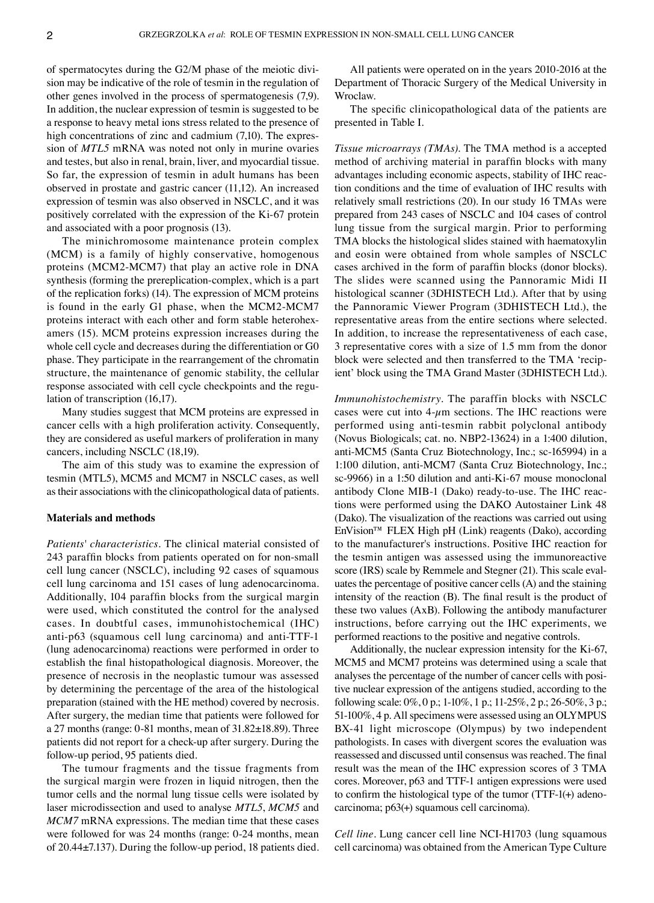of spermatocytes during the G2/M phase of the meiotic division may be indicative of the role of tesmin in the regulation of other genes involved in the process of spermatogenesis (7,9). In addition, the nuclear expression of tesmin is suggested to be a response to heavy metal ions stress related to the presence of high concentrations of zinc and cadmium  $(7,10)$ . The expression of *MTL5* mRNA was noted not only in murine ovaries and testes, but also in renal, brain, liver, and myocardial tissue. So far, the expression of tesmin in adult humans has been observed in prostate and gastric cancer (11,12). An increased expression of tesmin was also observed in NSCLC, and it was positively correlated with the expression of the Ki‑67 protein and associated with a poor prognosis (13).

The minichromosome maintenance protein complex (MCM) is a family of highly conservative, homogenous proteins (MCM2‑MCM7) that play an active role in DNA synthesis (forming the prereplication‑complex, which is a part of the replication forks) (14). The expression of MCM proteins is found in the early G1 phase, when the MCM2‑MCM7 proteins interact with each other and form stable heterohexamers (15). MCM proteins expression increases during the whole cell cycle and decreases during the differentiation or G0 phase. They participate in the rearrangement of the chromatin structure, the maintenance of genomic stability, the cellular response associated with cell cycle checkpoints and the regulation of transcription (16,17).

Many studies suggest that MCM proteins are expressed in cancer cells with a high proliferation activity. Consequently, they are considered as useful markers of proliferation in many cancers, including NSCLC (18,19).

The aim of this study was to examine the expression of tesmin (MTL5), MCM5 and MCM7 in NSCLC cases, as well as their associations with the clinicopathological data of patients.

#### **Materials and methods**

*Patients' characteristics.* The clinical material consisted of 243 paraffin blocks from patients operated on for non‑small cell lung cancer (NSCLC), including 92 cases of squamous cell lung carcinoma and 151 cases of lung adenocarcinoma. Additionally, 104 paraffin blocks from the surgical margin were used, which constituted the control for the analysed cases. In doubtful cases, immunohistochemical (IHC) anti-p63 (squamous cell lung carcinoma) and anti-TTF-1 (lung adenocarcinoma) reactions were performed in order to establish the final histopathological diagnosis. Moreover, the presence of necrosis in the neoplastic tumour was assessed by determining the percentage of the area of the histological preparation (stained with the HE method) covered by necrosis. After surgery, the median time that patients were followed for a 27 months (range: 0‑81 months, mean of 31.82±18.89). Three patients did not report for a check‑up after surgery. During the follow‑up period, 95 patients died.

The tumour fragments and the tissue fragments from the surgical margin were frozen in liquid nitrogen, then the tumor cells and the normal lung tissue cells were isolated by laser microdissection and used to analyse *MTL5*, *MCM5* and *MCM7* mRNA expressions. The median time that these cases were followed for was 24 months (range: 0-24 months, mean of 20.44±7.137). During the follow‑up period, 18 patients died.

All patients were operated on in the years 2010‑2016 at the Department of Thoracic Surgery of the Medical University in Wroclaw.

The specific clinicopathological data of the patients are presented in Table I.

*Tissue microarrays (TMAs).* The TMA method is a accepted method of archiving material in paraffin blocks with many advantages including economic aspects, stability of IHC reaction conditions and the time of evaluation of IHC results with relatively small restrictions (20). In our study 16 TMAs were prepared from 243 cases of NSCLC and 104 cases of control lung tissue from the surgical margin. Prior to performing TMA blocks the histological slides stained with haematoxylin and eosin were obtained from whole samples of NSCLC cases archived in the form of paraffin blocks (donor blocks). The slides were scanned using the Pannoramic Midi II histological scanner (3DHISTECH Ltd.). After that by using the Pannoramic Viewer Program (3DHISTECH Ltd.), the representative areas from the entire sections where selected. In addition, to increase the representativeness of each case, 3 representative cores with a size of 1.5 mm from the donor block were selected and then transferred to the TMA 'recipient' block using the TMA Grand Master (3DHISTECH Ltd.).

*Immunohistochemistry.* The paraffin blocks with NSCLC cases were cut into  $4-\mu m$  sections. The IHC reactions were performed using anti‑tesmin rabbit polyclonal antibody (Novus Biologicals; cat. no. NBP2‑13624) in a 1:400 dilution, anti-MCM5 (Santa Cruz Biotechnology, Inc.; sc-165994) in a 1:100 dilution, anti‑MCM7 (Santa Cruz Biotechnology, Inc.; sc-9966) in a 1:50 dilution and anti-Ki-67 mouse monoclonal antibody Clone MIB-1 (Dako) ready-to-use. The IHC reactions were performed using the DAKO Autostainer Link 48 (Dako). The visualization of the reactions was carried out using EnVision™ FLEX High pH (Link) reagents (Dako), according to the manufacturer's instructions. Positive IHC reaction for the tesmin antigen was assessed using the immunoreactive score (IRS) scale by Remmele and Stegner (21). This scale evaluates the percentage of positive cancer cells (A) and the staining intensity of the reaction (B). The final result is the product of these two values (AxB). Following the antibody manufacturer instructions, before carrying out the IHC experiments, we performed reactions to the positive and negative controls.

Additionally, the nuclear expression intensity for the Ki-67, MCM5 and MCM7 proteins was determined using a scale that analyses the percentage of the number of cancer cells with positive nuclear expression of the antigens studied, according to the following scale: 0%, 0 p.; 1‑10%, 1 p.; 11‑25%, 2 p.; 26‑50%, 3 p.; 51‑100%, 4 p. All specimens were assessed using an OLYMPUS BX-41 light microscope (Olympus) by two independent pathologists. In cases with divergent scores the evaluation was reassessed and discussed until consensus was reached. The final result was the mean of the IHC expression scores of 3 TMA cores. Moreover, p63 and TTF‑1 antigen expressions were used to confirm the histological type of the tumor  $(TTF-1(+))$  adenocarcinoma; p63(+) squamous cell carcinoma).

*Cell line.* Lung cancer cell line NCI‑H1703 (lung squamous cell carcinoma) was obtained from the American Type Culture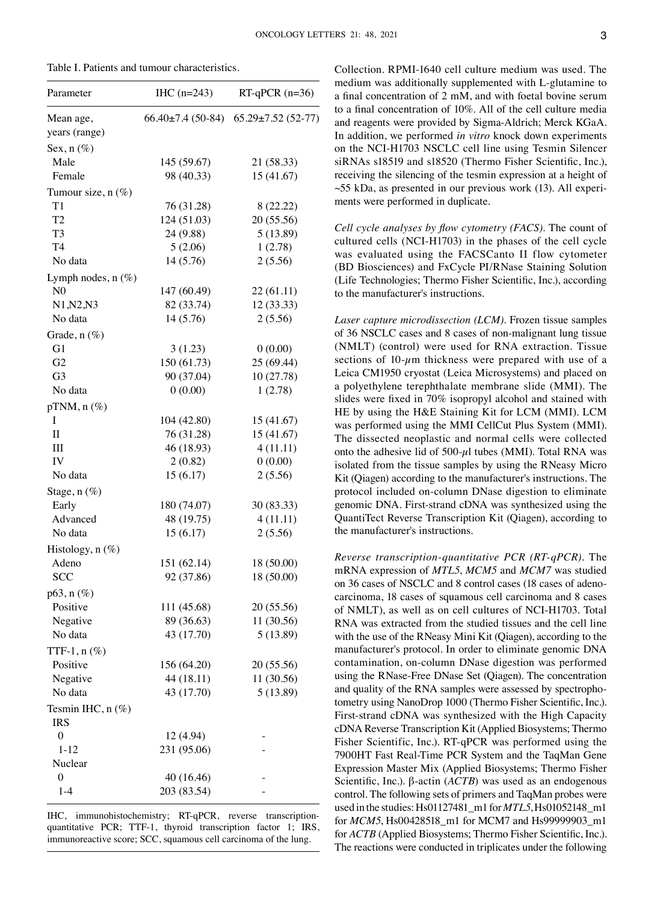Table I. Patients and tumour characteristics.

| 66.40±7.4 (50-84) 65.29±7.52 (52-77)<br>Mean age,<br>years (range)<br>Sex, $n$ (%)<br>Male<br>145 (59.67)<br>21 (58.33)<br>98 (40.33)<br>15 (41.67)<br>Female<br>Tumour size, $n(\%)$<br>T <sub>1</sub><br>76 (31.28)<br>8 (22.22)<br>124 (51.03)<br>T <sub>2</sub><br>20 (55.56)<br>T <sub>3</sub><br>24 (9.88)<br>5(13.89)<br>T <sub>4</sub><br>5(2.06)<br>1(2.78)<br>14 (5.76)<br>2(5.56)<br>No data<br>Lymph nodes, $n$ (%)<br>N <sub>0</sub><br>147 (60.49)<br>22 (61.11)<br>82 (33.74)<br>N1, N2, N3<br>12 (33.33)<br>No data<br>14(5.76)<br>2(5.56)<br>Grade, n (%)<br>G1<br>0(0.00)<br>3(1.23)<br>G2<br>150(61.73)<br>25 (69.44)<br>90 (37.04)<br>G <sub>3</sub><br>10(27.78)<br>0(0.00)<br>1(2.78)<br>No data<br>$pTNM, n(\%)$ | $RT-qPCR(n=36)$ |
|-----------------------------------------------------------------------------------------------------------------------------------------------------------------------------------------------------------------------------------------------------------------------------------------------------------------------------------------------------------------------------------------------------------------------------------------------------------------------------------------------------------------------------------------------------------------------------------------------------------------------------------------------------------------------------------------------------------------------------------------|-----------------|
|                                                                                                                                                                                                                                                                                                                                                                                                                                                                                                                                                                                                                                                                                                                                         |                 |
|                                                                                                                                                                                                                                                                                                                                                                                                                                                                                                                                                                                                                                                                                                                                         |                 |
|                                                                                                                                                                                                                                                                                                                                                                                                                                                                                                                                                                                                                                                                                                                                         |                 |
|                                                                                                                                                                                                                                                                                                                                                                                                                                                                                                                                                                                                                                                                                                                                         |                 |
|                                                                                                                                                                                                                                                                                                                                                                                                                                                                                                                                                                                                                                                                                                                                         |                 |
|                                                                                                                                                                                                                                                                                                                                                                                                                                                                                                                                                                                                                                                                                                                                         |                 |
|                                                                                                                                                                                                                                                                                                                                                                                                                                                                                                                                                                                                                                                                                                                                         |                 |
|                                                                                                                                                                                                                                                                                                                                                                                                                                                                                                                                                                                                                                                                                                                                         |                 |
|                                                                                                                                                                                                                                                                                                                                                                                                                                                                                                                                                                                                                                                                                                                                         |                 |
|                                                                                                                                                                                                                                                                                                                                                                                                                                                                                                                                                                                                                                                                                                                                         |                 |
|                                                                                                                                                                                                                                                                                                                                                                                                                                                                                                                                                                                                                                                                                                                                         |                 |
|                                                                                                                                                                                                                                                                                                                                                                                                                                                                                                                                                                                                                                                                                                                                         |                 |
|                                                                                                                                                                                                                                                                                                                                                                                                                                                                                                                                                                                                                                                                                                                                         |                 |
|                                                                                                                                                                                                                                                                                                                                                                                                                                                                                                                                                                                                                                                                                                                                         |                 |
|                                                                                                                                                                                                                                                                                                                                                                                                                                                                                                                                                                                                                                                                                                                                         |                 |
|                                                                                                                                                                                                                                                                                                                                                                                                                                                                                                                                                                                                                                                                                                                                         |                 |
|                                                                                                                                                                                                                                                                                                                                                                                                                                                                                                                                                                                                                                                                                                                                         |                 |
|                                                                                                                                                                                                                                                                                                                                                                                                                                                                                                                                                                                                                                                                                                                                         |                 |
|                                                                                                                                                                                                                                                                                                                                                                                                                                                                                                                                                                                                                                                                                                                                         |                 |
|                                                                                                                                                                                                                                                                                                                                                                                                                                                                                                                                                                                                                                                                                                                                         |                 |
|                                                                                                                                                                                                                                                                                                                                                                                                                                                                                                                                                                                                                                                                                                                                         |                 |
| 104 (42.80)<br>15 (41.67)<br>Ι                                                                                                                                                                                                                                                                                                                                                                                                                                                                                                                                                                                                                                                                                                          |                 |
| $\mathbf{I}$<br>76 (31.28)<br>15 (41.67)                                                                                                                                                                                                                                                                                                                                                                                                                                                                                                                                                                                                                                                                                                |                 |
| III<br>46 (18.93)<br>4(11.11)                                                                                                                                                                                                                                                                                                                                                                                                                                                                                                                                                                                                                                                                                                           |                 |
| IV<br>2(0.82)<br>0(0.00)                                                                                                                                                                                                                                                                                                                                                                                                                                                                                                                                                                                                                                                                                                                |                 |
| 15(6.17)<br>2(5.56)<br>No data                                                                                                                                                                                                                                                                                                                                                                                                                                                                                                                                                                                                                                                                                                          |                 |
| Stage, n (%)                                                                                                                                                                                                                                                                                                                                                                                                                                                                                                                                                                                                                                                                                                                            |                 |
| Early<br>180 (74.07)<br>30 (83.33)                                                                                                                                                                                                                                                                                                                                                                                                                                                                                                                                                                                                                                                                                                      |                 |
| Advanced<br>48 (19.75)<br>4(11.11)                                                                                                                                                                                                                                                                                                                                                                                                                                                                                                                                                                                                                                                                                                      |                 |
| 15(6.17)<br>2(5.56)<br>No data                                                                                                                                                                                                                                                                                                                                                                                                                                                                                                                                                                                                                                                                                                          |                 |
| Histology, $n$ (%)                                                                                                                                                                                                                                                                                                                                                                                                                                                                                                                                                                                                                                                                                                                      |                 |
| Adeno<br>151 (62.14)<br>18 (50.00)                                                                                                                                                                                                                                                                                                                                                                                                                                                                                                                                                                                                                                                                                                      |                 |
| <b>SCC</b><br>92 (37.86)<br>18 (50.00)                                                                                                                                                                                                                                                                                                                                                                                                                                                                                                                                                                                                                                                                                                  |                 |
| $p63, n(\%)$                                                                                                                                                                                                                                                                                                                                                                                                                                                                                                                                                                                                                                                                                                                            |                 |
| Positive<br>111 (45.68)<br>20 (55.56)                                                                                                                                                                                                                                                                                                                                                                                                                                                                                                                                                                                                                                                                                                   |                 |
| Negative<br>89 (36.63)<br>11 (30.56)                                                                                                                                                                                                                                                                                                                                                                                                                                                                                                                                                                                                                                                                                                    |                 |
| No data<br>43 (17.70)<br>5(13.89)                                                                                                                                                                                                                                                                                                                                                                                                                                                                                                                                                                                                                                                                                                       |                 |
| TTF-1, $n$ (%)                                                                                                                                                                                                                                                                                                                                                                                                                                                                                                                                                                                                                                                                                                                          |                 |
| Positive<br>156 (64.20)<br>20 (55.56)                                                                                                                                                                                                                                                                                                                                                                                                                                                                                                                                                                                                                                                                                                   |                 |
| 44 (18.11)<br>11 (30.56)<br>Negative                                                                                                                                                                                                                                                                                                                                                                                                                                                                                                                                                                                                                                                                                                    |                 |
| 43 (17.70)<br>No data<br>5(13.89)                                                                                                                                                                                                                                                                                                                                                                                                                                                                                                                                                                                                                                                                                                       |                 |
| Tesmin IHC, n (%)<br><b>IRS</b>                                                                                                                                                                                                                                                                                                                                                                                                                                                                                                                                                                                                                                                                                                         |                 |
| $\boldsymbol{0}$<br>12 (4.94)                                                                                                                                                                                                                                                                                                                                                                                                                                                                                                                                                                                                                                                                                                           |                 |
| $1 - 12$<br>231 (95.06)                                                                                                                                                                                                                                                                                                                                                                                                                                                                                                                                                                                                                                                                                                                 |                 |
| Nuclear                                                                                                                                                                                                                                                                                                                                                                                                                                                                                                                                                                                                                                                                                                                                 |                 |
| $\boldsymbol{0}$<br>40 (16.46)                                                                                                                                                                                                                                                                                                                                                                                                                                                                                                                                                                                                                                                                                                          |                 |
| 203 (83.54)<br>$1-4$                                                                                                                                                                                                                                                                                                                                                                                                                                                                                                                                                                                                                                                                                                                    |                 |

IHC, immunohistochemistry; RT-qPCR, reverse transcriptionquantitative PCR; TTF-1, thyroid transcription factor 1; IRS, immunoreactive score; SCC, squamous cell carcinoma of the lung.

Collection. RPMI‑1640 cell culture medium was used. The medium was additionally supplemented with L‑glutamine to a final concentration of 2 mM, and with foetal bovine serum to a final concentration of 10%. All of the cell culture media and reagents were provided by Sigma‑Aldrich; Merck KGaA. In addition, we performed *in vitro* knock down experiments on the NCI‑H1703 NSCLC cell line using Tesmin Silencer siRNAs s18519 and s18520 (Thermo Fisher Scientific, Inc.), receiving the silencing of the tesmin expression at a height of  $\sim$ 55 kDa, as presented in our previous work (13). All experiments were performed in duplicate.

*Cell cycle analyses by flow cytometry (FACS).* The count of cultured cells (NCI‑H1703) in the phases of the cell cycle was evaluated using the FACSCanto II flow cytometer (BD Biosciences) and FxCycle PI/RNase Staining Solution (Life Technologies; Thermo Fisher Scientific, Inc.), according to the manufacturer's instructions.

*Laser capture microdissection (LCM).* Frozen tissue samples of 36 NSCLC cases and 8 cases of non‑malignant lung tissue (NMLT) (control) were used for RNA extraction. Tissue sections of  $10$ - $\mu$ m thickness were prepared with use of a Leica CM1950 cryostat (Leica Microsystems) and placed on a polyethylene terephthalate membrane slide (MMI). The slides were fixed in 70% isopropyl alcohol and stained with HE by using the H&E Staining Kit for LCM (MMI). LCM was performed using the MMI CellCut Plus System (MMI). The dissected neoplastic and normal cells were collected onto the adhesive lid of  $500-\mu l$  tubes (MMI). Total RNA was isolated from the tissue samples by using the RNeasy Micro Kit (Qiagen) according to the manufacturer's instructions. The protocol included on‑column DNase digestion to eliminate genomic DNA. First‑strand cDNA was synthesized using the QuantiTect Reverse Transcription Kit (Qiagen), according to the manufacturer's instructions.

*Reverse transcription‑quantitative PCR (RT‑qPCR).* The mRNA expression of *MTL5*, *MCM5* and *MCM7* was studied on 36 cases of NSCLC and 8 control cases (18 cases of adenocarcinoma, 18 cases of squamous cell carcinoma and 8 cases of NMLT), as well as on cell cultures of NCI-H1703. Total RNA was extracted from the studied tissues and the cell line with the use of the RNeasy Mini Kit (Qiagen), according to the manufacturer's protocol. In order to eliminate genomic DNA contamination, on‑column DNase digestion was performed using the RNase‑Free DNase Set (Qiagen). The concentration and quality of the RNA samples were assessed by spectrophotometry using NanoDrop 1000 (Thermo Fisher Scientific, Inc.). First-strand cDNA was synthesized with the High Capacity cDNA Reverse Transcription Kit (Applied Biosystems; Thermo Fisher Scientific, Inc.). RT‑qPCR was performed using the 7900HT Fast Real‑Time PCR System and the TaqMan Gene Expression Master Mix (Applied Biosystems; Thermo Fisher Scientific, Inc.). β‑actin (*ACTB*) was used as an endogenous control. The following sets of primers and TaqMan probes were used in the studies: Hs01127481\_m1 for *MTL5*, Hs01052148\_m1 for *MCM5*, Hs00428518\_m1 for MCM7 and Hs99999903\_m1 for *ACTB* (Applied Biosystems; Thermo Fisher Scientific, Inc.). The reactions were conducted in triplicates under the following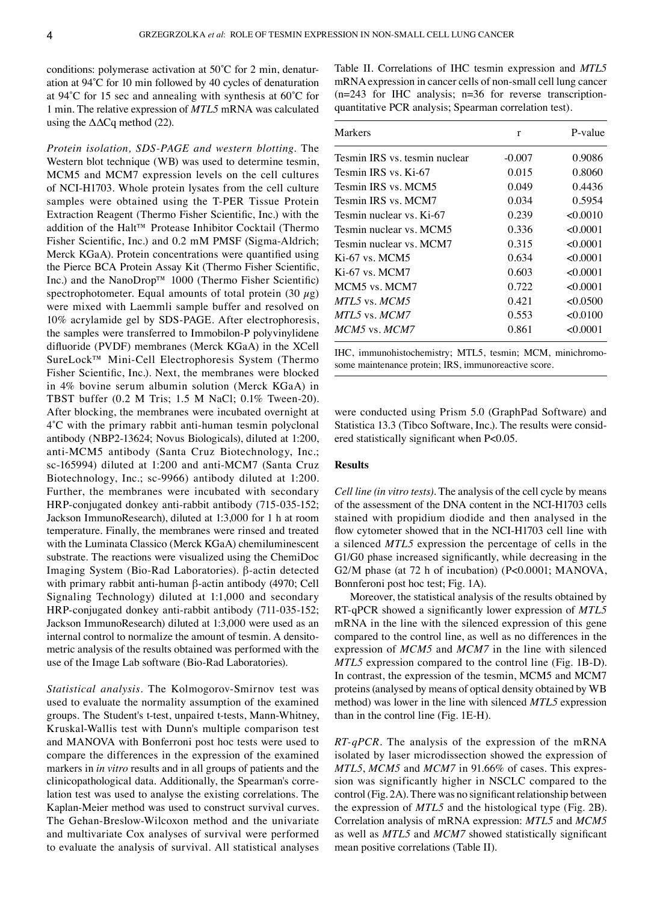conditions: polymerase activation at  $50^{\circ}$ C for 2 min, denaturation at 94˚C for 10 min followed by 40 cycles of denaturation at 94˚C for 15 sec and annealing with synthesis at 60˚C for 1 min. The relative expression of *MTL5* mRNA was calculated using the  $\Delta\Delta Cq$  method (22).

*Protein isolation, SDS‑PAGE and western blotting.* The Western blot technique (WB) was used to determine tesmin, MCM5 and MCM7 expression levels on the cell cultures of NCI‑H1703. Whole protein lysates from the cell culture samples were obtained using the T-PER Tissue Protein Extraction Reagent (Thermo Fisher Scientific, Inc.) with the addition of the Halt™ Protease Inhibitor Cocktail (Thermo Fisher Scientific, Inc.) and 0.2 mM PMSF (Sigma-Aldrich; Merck KGaA). Protein concentrations were quantified using the Pierce BCA Protein Assay Kit (Thermo Fisher Scientific, Inc.) and the NanoDrop™ 1000 (Thermo Fisher Scientific) spectrophotometer. Equal amounts of total protein  $(30 \mu g)$ were mixed with Laemmli sample buffer and resolved on 10% acrylamide gel by SDS‑PAGE. After electrophoresis, the samples were transferred to Immobilon‑P polyvinylidene difluoride (PVDF) membranes (Merck KGaA) in the XCell SureLock™ Mini‑Cell Electrophoresis System (Thermo Fisher Scientific, Inc.). Next, the membranes were blocked in 4% bovine serum albumin solution (Merck KGaA) in TBST buffer (0.2 M Tris; 1.5 M NaCl; 0.1% Tween‑20). After blocking, the membranes were incubated overnight at 4˚C with the primary rabbit anti‑human tesmin polyclonal antibody (NBP2‑13624; Novus Biologicals), diluted at 1:200, anti‑MCM5 antibody (Santa Cruz Biotechnology, Inc.; sc-165994) diluted at 1:200 and anti-MCM7 (Santa Cruz Biotechnology, Inc.; sc-9966) antibody diluted at 1:200. Further, the membranes were incubated with secondary HRP-conjugated donkey anti-rabbit antibody (715-035-152; Jackson ImmunoResearch), diluted at 1:3,000 for 1 h at room temperature. Finally, the membranes were rinsed and treated with the Luminata Classico (Merck KGaA) chemiluminescent substrate. The reactions were visualized using the ChemiDoc Imaging System (Bio‑Rad Laboratories). β‑actin detected with primary rabbit anti-human β-actin antibody (4970; Cell Signaling Technology) diluted at 1:1,000 and secondary HRP-conjugated donkey anti-rabbit antibody (711-035-152; Jackson ImmunoResearch) diluted at 1:3,000 were used as an internal control to normalize the amount of tesmin. A densitometric analysis of the results obtained was performed with the use of the Image Lab software (Bio‑Rad Laboratories).

*Statistical analysis.* The Kolmogorov‑Smirnov test was used to evaluate the normality assumption of the examined groups. The Student's t‑test, unpaired t‑tests, Mann‑Whitney, Kruskal‑Wallis test with Dunn's multiple comparison test and MANOVA with Bonferroni post hoc tests were used to compare the differences in the expression of the examined markers in *in vitro* results and in all groups of patients and the clinicopathological data. Additionally, the Spearman's corre‑ lation test was used to analyse the existing correlations. The Kaplan–Meier method was used to construct survival curves. The Gehan-Breslow-Wilcoxon method and the univariate and multivariate Cox analyses of survival were performed to evaluate the analysis of survival. All statistical analyses Table II. Correlations of IHC tesmin expression and *MTL5* mRNA expression in cancer cells of non-small cell lung cancer (n=243 for IHC analysis; n=36 for reverse transcriptionquantitative PCR analysis; Spearman correlation test).

| Markers                       | r        | P-value  |
|-------------------------------|----------|----------|
| Tesmin IRS vs. tesmin nuclear | $-0.007$ | 0.9086   |
| Tesmin IRS vs. Ki-67          | 0.015    | 0.8060   |
| Tesmin IRS vs. MCM5           | 0.049    | 0.4436   |
| Tesmin IRS vs. MCM7           | 0.034    | 0.5954   |
| Tesmin nuclear vs. Ki-67      | 0.239    | <0.0010  |
| Tesmin nuclear vs. MCM5       | 0.336    | < 0.0001 |
| Tesmin nuclear vs. MCM7       | 0.315    | < 0.0001 |
| $Ki-67$ vs. MCM5              | 0.634    | < 0.0001 |
| $Ki-67$ vs. MCM7              | 0.603    | < 0.0001 |
| MCM5 vs. MCM7                 | 0.722    | < 0.0001 |
| $MTL5$ vs. $MCM5$             | 0.421    | <0.0500  |
| MTL5 vs. MCM7                 | 0.553    | < 0.0100 |
| MCM5 vs. MCM7                 | 0.861    | < 0.0001 |

IHC, immunohistochemistry; MTL5, tesmin; MCM, minichromosome maintenance protein; IRS, immunoreactive score.

were conducted using Prism 5.0 (GraphPad Software) and Statistica 13.3 (Tibco Software, Inc.). The results were considered statistically significant when P<0.05.

#### **Results**

*Cell line (in vitro tests).* The analysis of the cell cycle by means of the assessment of the DNA content in the NCI‑H1703 cells stained with propidium diodide and then analysed in the flow cytometer showed that in the NCI-H1703 cell line with a silenced *MTL5* expression the percentage of cells in the G1/G0 phase increased significantly, while decreasing in the G2/M phase (at 72 h of incubation) (P<0.0001; MANOVA, Bonnferoni post hoc test; Fig. 1A).

Moreover, the statistical analysis of the results obtained by RT‑qPCR showed a significantly lower expression of *MTL5* mRNA in the line with the silenced expression of this gene compared to the control line, as well as no differences in the expression of *MCM5* and *MCM7* in the line with silenced *MTL5* expression compared to the control line (Fig. 1B-D). In contrast, the expression of the tesmin, MCM5 and MCM7 proteins (analysed by means of optical density obtained by WB method) was lower in the line with silenced *MTL5* expression than in the control line (Fig. 1E‑H).

*RT*-qPCR. The analysis of the expression of the mRNA isolated by laser microdissection showed the expression of *MTL5*, *MCM5* and *MCM7* in 91.66% of cases. This expres– sion was significantly higher in NSCLC compared to the control(Fig. 2A). There was no significant relationship between the expression of *MTL5* and the histological type (Fig. 2B). Correlation analysis of mRNA expression: *MTL5* and *MCM5* as well as *MTL5* and *MCM7* showed statistically significant mean positive correlations (Table II).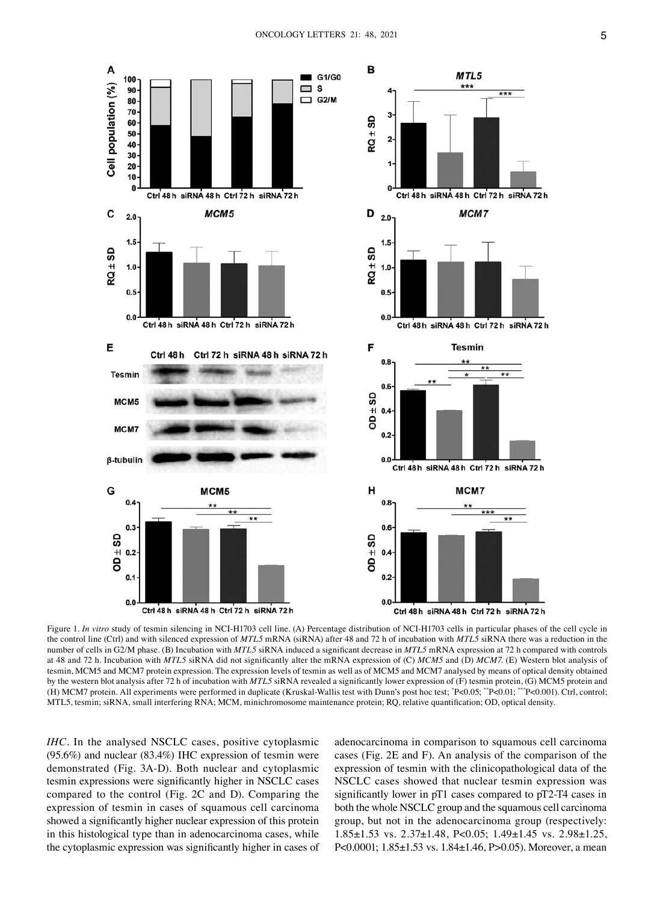

Figure 1. *In vitro* study of tesmin silencing in NCI-H1703 cell line. (A) Percentage distribution of NCI-H1703 cells in particular phases of the cell cycle in the control line (Ctrl) and with silenced expression of *MTL5* mRNA (siRNA) after 48 and 72 h of incubation with *MTL5* siRNA there was a reduction in the number of cells in G2/M phase. (B) Incubation with *MTL5* siRNA induced a significant decrease in *MTL5* mRNA expression at 72 h compared with controls at 48 and 72 h. Incubation with *MTL5* siRNA did not significantly alter the mRNA expression of (C) *MCM5* and (D) *MCM7*. (E) Western blot analysis of tesmin, MCM5 and MCM7 protein expression. The expression levels of tesmin as well as of MCM5 and MCM7 analysed by means of optical density obtained by the western blot analysis after 72 h of incubation with *MTL5* siRNA revealed a significantly lower expression of (F) tesmin protein, (G) MCM5 protein and (H) MCM7 protein. All experiments were performed in duplicate (Kruskal‑Wallis test with Dunn's post hoc test; \* P<0.05; \*\*P<0.01; \*\*\*P<0.001). Ctrl, control; MTL5, tesmin; siRNA, small interfering RNA; MCM, minichromosome maintenance protein; RQ, relative quantification; OD, optical density.

*IHC*. In the analysed NSCLC cases, positive cytoplasmic (95.6%) and nuclear (83.4%) IHC expression of tesmin were demonstrated (Fig. 3A‑D). Both nuclear and cytoplasmic tesmin expressions were significantly higher in NSCLC cases compared to the control (Fig. 2C and D). Comparing the expression of tesmin in cases of squamous cell carcinoma showed a significantly higher nuclear expression of this protein in this histological type than in adenocarcinoma cases, while the cytoplasmic expression was significantly higher in cases of adenocarcinoma in comparison to squamous cell carcinoma cases (Fig. 2E and F). An analysis of the comparison of the expression of tesmin with the clinicopathological data of the NSCLC cases showed that nuclear tesmin expression was significantly lower in pT1 cases compared to pT2‑T4 cases in both the whole NSCLC group and the squamous cell carcinoma group, but not in the adenocarcinoma group (respectively: 1.85±1.53 vs. 2.37±1.48, P<0.05; 1.49±1.45 vs. 2.98±1.25, P<0.0001; 1.85±1.53 vs. 1.84±1.46, P>0.05). Moreover, a mean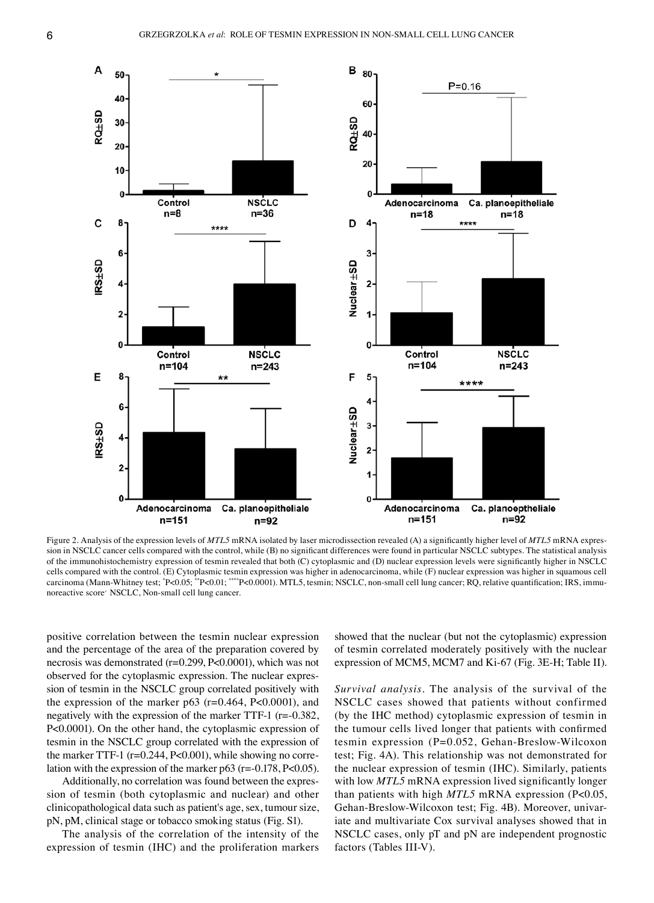

Figure 2. Analysis of the expression levels of *MTL5* mRNA isolated by laser microdissection revealed (A) a significantly higher level of *MTL5* mRNA expression in NSCLC cancer cells compared with the control, while (B) no significant differences were found in particular NSCLC subtypes. The statistical analysis of the immunohistochemistry expression of tesmin revealed that both (C) cytoplasmic and (D) nuclear expression levels were significantly higher in NSCLC cells compared with the control. (E) Cytoplasmic tesmin expression was higher in adenocarcinoma, while (F) nuclear expression was higher in squamous cell carcinoma (Mann-Whitney test; \*P<0.05; \*\*P<0.01; \*\*\*\*P<0.0001). MTL5, tesmin; NSCLC, non-small cell lung cancer; RQ, relative quantification; IRS, immunoreactive score΄ NSCLC, Non‑small cell lung cancer.

positive correlation between the tesmin nuclear expression and the percentage of the area of the preparation covered by necrosis was demonstrated (r=0.299, P<0.0001), which was not observed for the cytoplasmic expression. The nuclear expression of tesmin in the NSCLC group correlated positively with the expression of the marker p63 ( $r=0.464$ , P<0.0001), and negatively with the expression of the marker TTF-1 (r=-0.382, P<0.0001). On the other hand, the cytoplasmic expression of tesmin in the NSCLC group correlated with the expression of the marker TTF-1 ( $r=0.244$ , P<0.001), while showing no correlation with the expression of the marker p63 ( $r = 0.178$ ,  $P < 0.05$ ).

Additionally, no correlation was found between the expres– sion of tesmin (both cytoplasmic and nuclear) and other clinicopathological data such as patient's age, sex, tumour size, pN, pM, clinical stage or tobacco smoking status (Fig. S1).

The analysis of the correlation of the intensity of the expression of tesmin (IHC) and the proliferation markers

showed that the nuclear (but not the cytoplasmic) expression of tesmin correlated moderately positively with the nuclear expression of MCM5, MCM7 and Ki-67 (Fig. 3E-H; Table II).

*Survival analysis.* The analysis of the survival of the NSCLC cases showed that patients without confirmed (by the IHC method) cytoplasmic expression of tesmin in the tumour cells lived longer that patients with confirmed tesmin expression (P=0.052, Gehan‑Breslow‑Wilcoxon test; Fig. 4A). This relationship was not demonstrated for the nuclear expression of tesmin (IHC). Similarly, patients with low *MTL5* mRNA expression lived significantly longer than patients with high *MTL5* mRNA expression (P<0.05, Gehan-Breslow-Wilcoxon test; Fig. 4B). Moreover, univariate and multivariate Cox survival analyses showed that in NSCLC cases, only pT and pN are independent prognostic factors (Tables III‑V).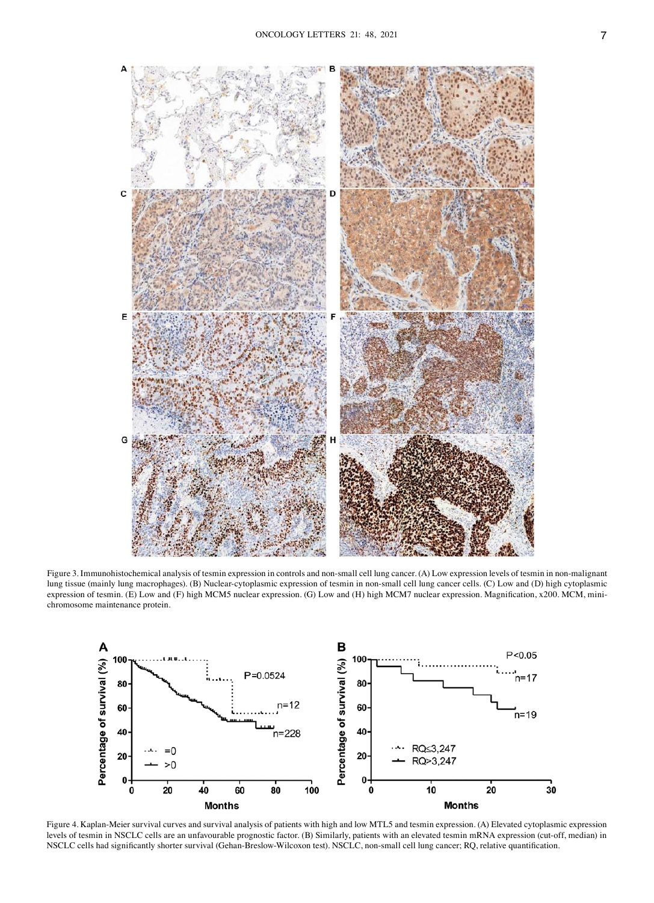

Figure 3. Immunohistochemical analysis of tesmin expression in controls and non-small cell lung cancer. (A) Low expression levels of tesmin in non-malignant lung tissue (mainly lung macrophages). (B) Nuclear-cytoplasmic expression of tesmin in non-small cell lung cancer cells. (C) Low and (D) high cytoplasmic expression of tesmin. (E) Low and (F) high MCM5 nuclear expression. (G) Low and (H) high MCM7 nuclear expression. Magnification, x200. MCM, minichromosome maintenance protein.



Figure 4. Kaplan-Meier survival curves and survival analysis of patients with high and low MTL5 and tesmin expression. (A) Elevated cytoplasmic expression levels of tesmin in NSCLC cells are an unfavourable prognostic factor. (B) Similarly, patients with an elevated tesmin mRNA expression (cut-off, median) in NSCLC cells had significantly shorter survival (Gehan-Breslow-Wilcoxon test). NSCLC, non-small cell lung cancer; RQ, relative quantification.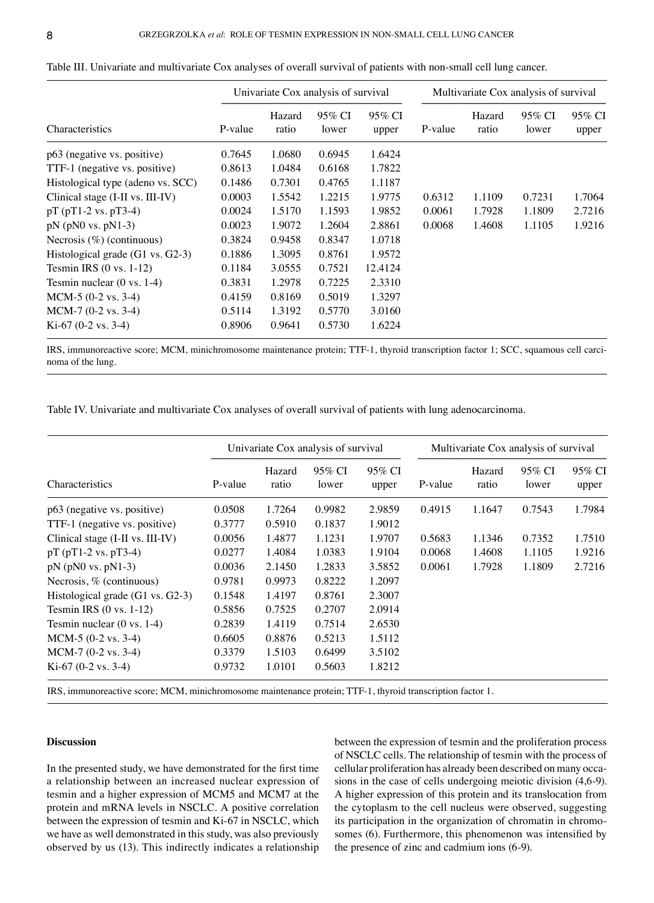| Characteristics                       | Univariate Cox analysis of survival |                 |                 |                 | Multivariate Cox analysis of survival |                 |                 |                 |
|---------------------------------------|-------------------------------------|-----------------|-----------------|-----------------|---------------------------------------|-----------------|-----------------|-----------------|
|                                       | P-value                             | Hazard<br>ratio | 95% CI<br>lower | 95% CI<br>upper | P-value                               | Hazard<br>ratio | 95% CI<br>lower | 95% CI<br>upper |
| p63 (negative vs. positive)           | 0.7645                              | 1.0680          | 0.6945          | 1.6424          |                                       |                 |                 |                 |
| TTF-1 (negative vs. positive)         | 0.8613                              | 1.0484          | 0.6168          | 1.7822          |                                       |                 |                 |                 |
| Histological type (adeno vs. SCC)     | 0.1486                              | 0.7301          | 0.4765          | 1.1187          |                                       |                 |                 |                 |
| Clinical stage (I-II vs. III-IV)      | 0.0003                              | 1.5542          | 1.2215          | 1.9775          | 0.6312                                | 1.1109          | 0.7231          | 1.7064          |
| $pT(pT1-2 vs. pT3-4)$                 | 0.0024                              | 1.5170          | 1.1593          | 1.9852          | 0.0061                                | 1.7928          | 1.1809          | 2.7216          |
| $pN$ ( $pN0$ vs. $pN1-3$ )            | 0.0023                              | 1.9072          | 1.2604          | 2.8861          | 0.0068                                | 1.4608          | 1.1105          | 1.9216          |
| Necrosis $(\%)$ (continuous)          | 0.3824                              | 0.9458          | 0.8347          | 1.0718          |                                       |                 |                 |                 |
| Histological grade $(G1 vs. G2-3)$    | 0.1886                              | 1.3095          | 0.8761          | 1.9572          |                                       |                 |                 |                 |
| Tesmin IRS $(0 \text{ vs. } 1-12)$    | 0.1184                              | 3.0555          | 0.7521          | 12.4124         |                                       |                 |                 |                 |
| Tesmin nuclear $(0 \text{ vs. } 1-4)$ | 0.3831                              | 1.2978          | 0.7225          | 2.3310          |                                       |                 |                 |                 |
| $MCM-5$ (0-2 vs. 3-4)                 | 0.4159                              | 0.8169          | 0.5019          | 1.3297          |                                       |                 |                 |                 |
| $MCM-7$ (0-2 vs. 3-4)                 | 0.5114                              | 1.3192          | 0.5770          | 3.0160          |                                       |                 |                 |                 |
| Ki-67 $(0-2 \text{ vs. } 3-4)$        | 0.8906                              | 0.9641          | 0.5730          | 1.6224          |                                       |                 |                 |                 |

Table III. Univariate and multivariate Cox analyses of overall survival of patients with non-small cell lung cancer.

IRS, immunoreactive score; MCM, minichromosome maintenance protein; TTF-1, thyroid transcription factor 1; SCC, squamous cell carcinoma of the lung.

Table IV. Univariate and multivariate Cox analyses of overall survival of patients with lung adenocarcinoma.

| Characteristics                       | Univariate Cox analysis of survival |                 |                 |                 | Multivariate Cox analysis of survival |                 |                 |                 |
|---------------------------------------|-------------------------------------|-----------------|-----------------|-----------------|---------------------------------------|-----------------|-----------------|-----------------|
|                                       | P-value                             | Hazard<br>ratio | 95% CI<br>lower | 95% CI<br>upper | P-value                               | Hazard<br>ratio | 95% CI<br>lower | 95% CI<br>upper |
| p63 (negative vs. positive)           | 0.0508                              | 1.7264          | 0.9982          | 2.9859          | 0.4915                                | 1.1647          | 0.7543          | 1.7984          |
| TTF-1 (negative vs. positive)         | 0.3777                              | 0.5910          | 0.1837          | 1.9012          |                                       |                 |                 |                 |
| Clinical stage (I-II vs. III-IV)      | 0.0056                              | 1.4877          | 1.1231          | 1.9707          | 0.5683                                | 1.1346          | 0.7352          | 1.7510          |
| $pT(pT1-2 vs. pT3-4)$                 | 0.0277                              | 1.4084          | 1.0383          | 1.9104          | 0.0068                                | 1.4608          | 1.1105          | 1.9216          |
| $pN$ ( $pN0$ vs. $pN1-3$ )            | 0.0036                              | 2.1450          | 1.2833          | 3.5852          | 0.0061                                | 1.7928          | 1.1809          | 2.7216          |
| Necrosis, $%$ (continuous)            | 0.9781                              | 0.9973          | 0.8222          | 1.2097          |                                       |                 |                 |                 |
| Histological grade $(G1 vs. G2-3)$    | 0.1548                              | 1.4197          | 0.8761          | 2.3007          |                                       |                 |                 |                 |
| Tesmin IRS $(0 \text{ vs. } 1-12)$    | 0.5856                              | 0.7525          | 0.2707          | 2.0914          |                                       |                 |                 |                 |
| Tesmin nuclear $(0 \text{ vs. } 1-4)$ | 0.2839                              | 1.4119          | 0.7514          | 2.6530          |                                       |                 |                 |                 |
| $MCM-5$ (0-2 vs. 3-4)                 | 0.6605                              | 0.8876          | 0.5213          | 1.5112          |                                       |                 |                 |                 |
| $MCM-7$ (0-2 vs. 3-4)                 | 0.3379                              | 1.5103          | 0.6499          | 3.5102          |                                       |                 |                 |                 |
| Ki-67 (0-2 vs. 3-4)                   | 0.9732                              | 1.0101          | 0.5603          | 1.8212          |                                       |                 |                 |                 |

IRS, immunoreactive score; MCM, minichromosome maintenance protein; TTF-1, thyroid transcription factor 1.

## **Discussion**

In the presented study, we have demonstrated for the first time a relationship between an increased nuclear expression of tesmin and a higher expression of MCM5 and MCM7 at the protein and mRNA levels in NSCLC. A positive correlation between the expression of tesmin and Ki-67 in NSCLC, which we have as well demonstrated in this study, was also previously observed by us (13). This indirectly indicates a relationship between the expression of tesmin and the proliferation process of NSCLC cells. The relationship of tesmin with the process of cellular proliferation has already been described on many occasions in the case of cells undergoing meiotic division (4,6‑9). A higher expression of this protein and its translocation from the cytoplasm to the cell nucleus were observed, suggesting its participation in the organization of chromatin in chromosomes (6). Furthermore, this phenomenon was intensified by the presence of zinc and cadmium ions (6‑9).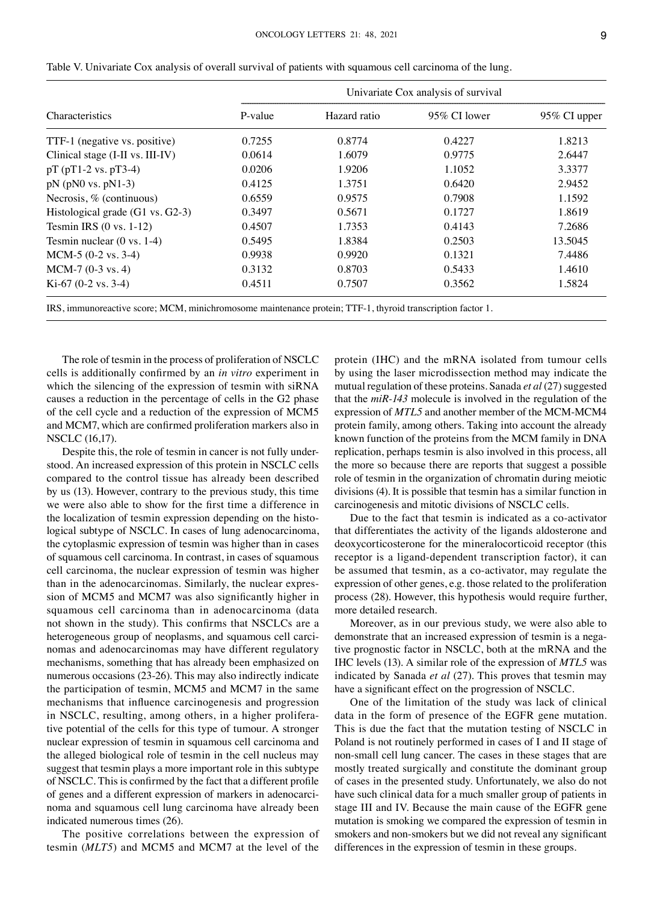| <b>Characteristics</b>                | Univariate Cox analysis of survival |              |                 |              |  |  |  |  |
|---------------------------------------|-------------------------------------|--------------|-----------------|--------------|--|--|--|--|
|                                       | P-value                             | Hazard ratio | $95\%$ CI lower | 95% CI upper |  |  |  |  |
| TTF-1 (negative vs. positive)         | 0.7255                              | 0.8774       | 0.4227          | 1.8213       |  |  |  |  |
| Clinical stage (I-II vs. III-IV)      | 0.0614                              | 1.6079       | 0.9775          | 2.6447       |  |  |  |  |
| $pT(pT1-2 vs. pT3-4)$                 | 0.0206                              | 1.9206       | 1.1052          | 3.3377       |  |  |  |  |
| $pN$ ( $pN0$ vs. $pN1-3$ )            | 0.4125                              | 1.3751       | 0.6420          | 2.9452       |  |  |  |  |
| Necrosis, $%$ (continuous)            | 0.6559                              | 0.9575       | 0.7908          | 1.1592       |  |  |  |  |
| Histological grade $(G1 vs. G2-3)$    | 0.3497                              | 0.5671       | 0.1727          | 1.8619       |  |  |  |  |
| Tesmin IRS $(0 \text{ vs. } 1-12)$    | 0.4507                              | 1.7353       | 0.4143          | 7.2686       |  |  |  |  |
| Tesmin nuclear $(0 \text{ vs. } 1-4)$ | 0.5495                              | 1.8384       | 0.2503          | 13.5045      |  |  |  |  |
| $MCM-5$ (0-2 vs. 3-4)                 | 0.9938                              | 0.9920       | 0.1321          | 7.4486       |  |  |  |  |
| $MCM-7$ (0-3 vs. 4)                   | 0.3132                              | 0.8703       | 0.5433          | 1.4610       |  |  |  |  |
| Ki-67 $(0-2 \text{ vs. } 3-4)$        | 0.4511                              | 0.7507       | 0.3562          | 1.5824       |  |  |  |  |

Table V. Univariate Cox analysis of overall survival of patients with squamous cell carcinoma of the lung.

IRS, immunoreactive score; MCM, minichromosome maintenance protein; TTF-1, thyroid transcription factor 1.

The role of tesmin in the process of proliferation of NSCLC cells is additionally confirmed by an *in vitro* experiment in which the silencing of the expression of tesmin with siRNA causes a reduction in the percentage of cells in the G2 phase of the cell cycle and a reduction of the expression of MCM5 and MCM7, which are confirmed proliferation markers also in NSCLC (16,17).

Despite this, the role of tesmin in cancer is not fully understood. An increased expression of this protein in NSCLC cells compared to the control tissue has already been described by us (13). However, contrary to the previous study, this time we were also able to show for the first time a difference in the localization of tesmin expression depending on the histological subtype of NSCLC. In cases of lung adenocarcinoma, the cytoplasmic expression of tesmin was higher than in cases of squamous cell carcinoma. In contrast, in cases of squamous cell carcinoma, the nuclear expression of tesmin was higher than in the adenocarcinomas. Similarly, the nuclear expression of MCM5 and MCM7 was also significantly higher in squamous cell carcinoma than in adenocarcinoma (data not shown in the study). This confirms that NSCLCs are a heterogeneous group of neoplasms, and squamous cell carcinomas and adenocarcinomas may have different regulatory mechanisms, something that has already been emphasized on numerous occasions (23-26). This may also indirectly indicate the participation of tesmin, MCM5 and MCM7 in the same mechanisms that influence carcinogenesis and progression in NSCLC, resulting, among others, in a higher proliferative potential of the cells for this type of tumour. A stronger nuclear expression of tesmin in squamous cell carcinoma and the alleged biological role of tesmin in the cell nucleus may suggest that tesmin plays a more important role in this subtype of NSCLC. This is confirmed by the fact that a different profile of genes and a different expression of markers in adenocarcinoma and squamous cell lung carcinoma have already been indicated numerous times (26).

The positive correlations between the expression of tesmin (*MLT5*) and MCM5 and MCM7 at the level of the

protein (IHC) and the mRNA isolated from tumour cells by using the laser microdissection method may indicate the mutual regulation of these proteins. Sanada *et al* (27) suggested that the *miR‑143* molecule is involved in the regulation of the expression of  $MTL5$  and another member of the MCM-MCM4 protein family, among others. Taking into account the already known function of the proteins from the MCM family in DNA replication, perhaps tesmin is also involved in this process, all the more so because there are reports that suggest a possible role of tesmin in the organization of chromatin during meiotic divisions (4). It is possible that tesmin has a similar function in carcinogenesis and mitotic divisions of NSCLC cells.

Due to the fact that tesmin is indicated as a co‑activator that differentiates the activity of the ligands aldosterone and deoxycorticosterone for the mineralocorticoid receptor (this receptor is a ligand-dependent transcription factor), it can be assumed that tesmin, as a co‑activator, may regulate the expression of other genes, e.g. those related to the proliferation process (28). However, this hypothesis would require further, more detailed research.

Moreover, as in our previous study, we were also able to demonstrate that an increased expression of tesmin is a negative prognostic factor in NSCLC, both at the mRNA and the IHC levels (13). A similar role of the expression of *MTL5* was indicated by Sanada *et al* (27). This proves that tesmin may have a significant effect on the progression of NSCLC.

One of the limitation of the study was lack of clinical data in the form of presence of the EGFR gene mutation. This is due the fact that the mutation testing of NSCLC in Poland is not routinely performed in cases of I and II stage of non‑small cell lung cancer. The cases in these stages that are mostly treated surgically and constitute the dominant group of cases in the presented study. Unfortunately, we also do not have such clinical data for a much smaller group of patients in stage III and IV. Because the main cause of the EGFR gene mutation is smoking we compared the expression of tesmin in smokers and non‑smokers but we did not reveal any significant differences in the expression of tesmin in these groups.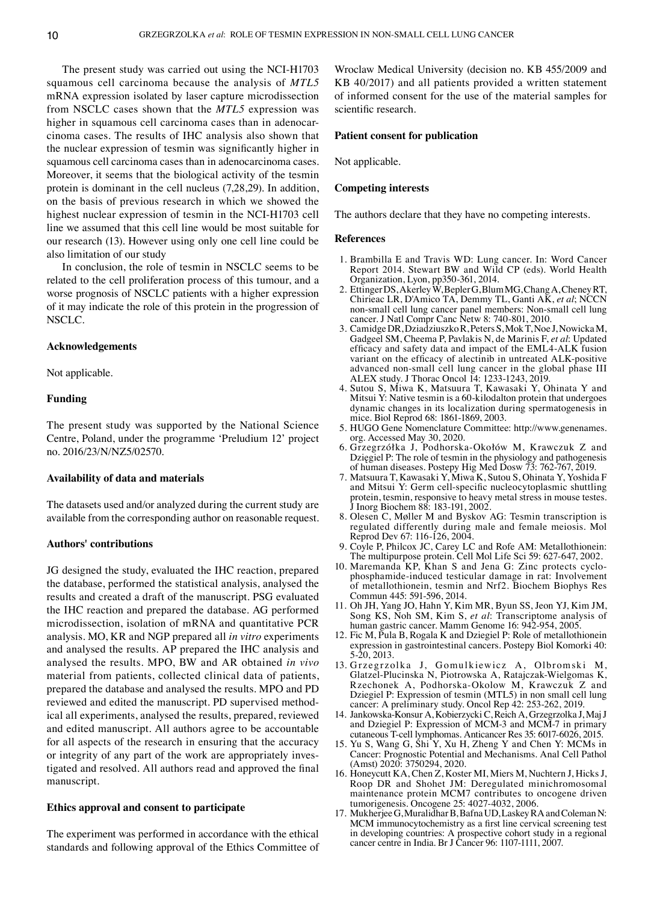The present study was carried out using the NCI-H1703 squamous cell carcinoma because the analysis of *MTL5* mRNA expression isolated by laser capture microdissection from NSCLC cases shown that the *MTL5* expression was higher in squamous cell carcinoma cases than in adenocarcinoma cases. The results of IHC analysis also shown that the nuclear expression of tesmin was significantly higher in squamous cell carcinoma cases than in adenocarcinoma cases. Moreover, it seems that the biological activity of the tesmin protein is dominant in the cell nucleus (7,28,29). In addition, on the basis of previous research in which we showed the highest nuclear expression of tesmin in the NCI-H1703 cell line we assumed that this cell line would be most suitable for our research (13). However using only one cell line could be also limitation of our study

In conclusion, the role of tesmin in NSCLC seems to be related to the cell proliferation process of this tumour, and a worse prognosis of NSCLC patients with a higher expression of it may indicate the role of this protein in the progression of NSCLC.

# **Acknowledgements**

Not applicable.

# **Funding**

The present study was supported by the National Science Centre, Poland, under the programme 'Preludium 12' project no. 2016/23/N/NZ5/02570.

#### **Availability of data and materials**

The datasets used and/or analyzed during the current study are available from the corresponding author on reasonable request.

### **Authors' contributions**

JG designed the study, evaluated the IHC reaction, prepared the database, performed the statistical analysis, analysed the results and created a draft of the manuscript. PSG evaluated the IHC reaction and prepared the database. AG performed microdissection, isolation of mRNA and quantitative PCR analysis. MO, KR and NGP prepared all *in vitro* experiments and analysed the results. AP prepared the IHC analysis and analysed the results. MPO, BW and AR obtained *in vivo* material from patients, collected clinical data of patients, prepared the database and analysed the results. MPO and PD reviewed and edited the manuscript. PD supervised methodical all experiments, analysed the results, prepared, reviewed and edited manuscript. All authors agree to be accountable for all aspects of the research in ensuring that the accuracy or integrity of any part of the work are appropriately investigated and resolved. All authors read and approved the final manuscript.

### **Ethics approval and consent to participate**

The experiment was performed in accordance with the ethical standards and following approval of the Ethics Committee of

Wroclaw Medical University (decision no. KB 455/2009 and KB 40/2017) and all patients provided a written statement of informed consent for the use of the material samples for scientific research.

## **Patient consent for publication**

Not applicable.

## **Competing interests**

The authors declare that they have no competing interests.

#### **References**

- 1. Brambilla E and Travis WD: Lung cancer. In: Word Cancer Report 2014. Stewart BW and Wild CP (eds). World Health Organization, Lyon, pp350‑361, 2014.
- 2. Ettinger DS, Akerley W, Bepler G, Blum MG, ChangA, CheneyRT, Chirieac LR, D'Amico TA, Demmy TL, Ganti AK, *et al*; NCCN non‑small cell lung cancer panel members: Non‑small cell lung cancer. J Natl Compr Canc Netw 8: 740‑801, 2010.
- 3. Camidge DR, Dziadziuszko R, Peters S, Mok T, Noe J, NowickaM, Gadgeel SM, Cheema P, Pavlakis N, de Marinis F, *et al*: Updated efficacy and safety data and impact of the EML4‑ALK fusion variant on the efficacy of alectinib in untreated ALK‑positive advanced non‑small cell lung cancer in the global phase III ALEX study. J Thorac Oncol 14: 1233‑1243, 2019.
- 4. Sutou S, Miwa K, Matsuura T, Kawasaki Y, Ohinata Y and Mitsui Y: Native tesmin is a 60‑kilodalton protein that undergoes dynamic changes in its localization during spermatogenesis in mice. Biol Reprod 68: 1861-1869, 2003.
- 5. HUGO Gene Nomenclature Committee: http://www.genenames. org. Accessed May 30, 2020.
- 6. Grzegrzółka J, Podhorska‑Okołów M, Krawczuk Z and Dzięgiel P: The role of tesmin in the physiology and pathogenesis of human diseases. Postepy Hig Med Dosw 73: 762‑767, 2019.
- 7. Matsuura T, Kawasaki Y, Miwa K, Sutou S, Ohinata Y, Yoshida F and Mitsui Y: Germ cell‑specific nucleocytoplasmic shuttling protein, tesmin, responsive to heavy metal stress in mouse testes. J Inorg Biochem 88: 183‑191, 2002.
- 8. Olesen C, Møller M and Byskov AG: Tesmin transcription is regulated differently during male and female meiosis. Mol Reprod Dev 67: 116‑126, 2004.
- 9. Coyle P, Philcox JC, Carey LC and Rofe AM: Metallothionein: The multipurpose protein. Cell Mol Life Sci 59: 627‑647, 2002.
- 10. Maremanda KP, Khan S and Jena G: Zinc protects cyclophosphamide‑induced testicular damage in rat: Involvement of metallothionein, tesmin and Nrf2. Biochem Biophys Res Commun 445: 591‑596, 2014.
- 11. Oh JH, Yang JO, Hahn Y, Kim MR, Byun SS, Jeon YJ, Kim JM, Song KS, Noh SM, Kim S, *et al*: Transcriptome analysis of human gastric cancer. Mamm Genome 16: 942‑954, 2005.
- 12. Fic M, Pula B, Rogala K and Dziegiel P: Role of metallothionein expression in gastrointestinal cancers. Postepy Biol Komorki 40: 5‑20, 2013.
- 13. Grzegrzolka J, Gomulkiewicz A, Olbromski M, Glatzel‑Plucinska N, Piotrowska A, Ratajczak‑Wielgomas K, Rzechonek A, Podhorska‑Okolow M, Krawczuk Z and Dziegiel P: Expression of tesmin (MTL5) in non small cell lung cancer: A preliminary study. Oncol Rep 42: 253‑262, 2019.
- 14. Jankowska‑Konsur A, Kobierzycki C, Reich A, Grzegrzolka J, MajJ and Dziegiel P: Expression of MCM‑3 and MCM‑7 in primary cutaneous T‑cell lymphomas. Anticancer Res 35: 6017‑6026, 2015.
- 15. Yu S, Wang G, Shi Y, Xu H, Zheng Y and Chen Y: MCMs in Cancer: Prognostic Potential and Mechanisms. Anal Cell Pathol (Amst) 2020: 3750294, 2020.
- 16. Honeycutt KA, Chen Z, Koster MI, Miers M, Nuchtern J, Hicks J, Roop DR and Shohet JM: Deregulated minichromosomal maintenance protein MCM7 contributes to oncogene driven tumorigenesis. Oncogene 25: 4027‑4032, 2006.
- 17. Mukherjee G, Muralidhar B, Bafna UD, Laskey RA and ColemanN: MCM immunocytochemistry as a first line cervical screening test in developing countries: A prospective cohort study in a regional cancer centre in India. Br J Cancer 96: 1107‑1111, 2007.